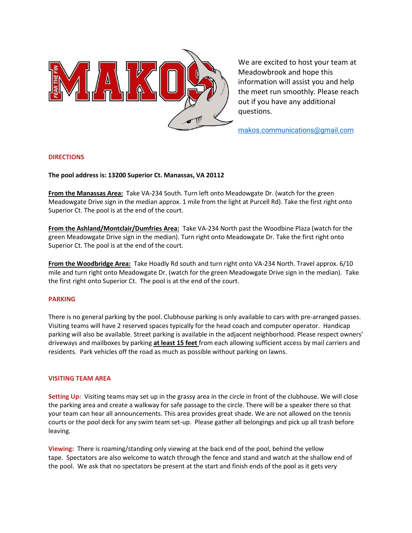

We are excited to host your team at Meadowbrook and hope this information will assist you and help the meet run smoothly. Please reach out if you have any additional questions.

[makos.communications@gmail.com](mailto:makos.communications@gmail.com)

# **DIRECTIONS**

**The pool address is: 13200 Superior Ct. Manassas, VA 20112**

**From the Manassas Area:** Take VA-234 South. Turn left onto Meadowgate Dr. (watch for the green Meadowgate Drive sign in the median approx. 1 mile from the light at Purcell Rd). Take the first right onto Superior Ct. The pool is at the end of the court.

**From the Ashland/Montclair/Dumfries Area:** Take VA-234 North past the Woodbine Plaza (watch for the green Meadowgate Drive sign in the median). Turn right onto Meadowgate Dr. Take the first right onto Superior Ct. The pool is at the end of the court.

**From the Woodbridge Area:** Take Hoadly Rd south and turn right onto VA-234 North. Travel approx. 6/10 mile and turn right onto Meadowgate Dr. (watch for the green Meadowgate Drive sign in the median). Take the first right onto Superior Ct. The pool is at the end of the court.

### **PARKING**

There is no general parking by the pool. Clubhouse parking is only available to cars with pre-arranged passes. Visiting teams will have 2 reserved spaces typically for the head coach and computer operator. Handicap parking will also be available. Street parking is available in the adjacent neighborhood. Please respect owners' driveways and mailboxes by parking **at least 15 feet** from each allowing sufficient access by mail carriers and residents. Park vehicles off the road as much as possible without parking on lawns.

### **VISITING TEAM AREA**

**Setting Up:** Visiting teams may set up in the grassy area in the circle in front of the clubhouse. We will close the parking area and create a walkway for safe passage to the circle. There will be a speaker there so that your team can hear all announcements. This area provides great shade. We are not allowed on the tennis courts or the pool deck for any swim team set-up. Please gather all belongings and pick up all trash before leaving.

**Viewing:** There is roaming/standing only viewing at the back end of the pool, behind the yellow tape. Spectators are also welcome to watch through the fence and stand and watch at the shallow end of the pool. We ask that no spectators be present at the start and finish ends of the pool as it gets very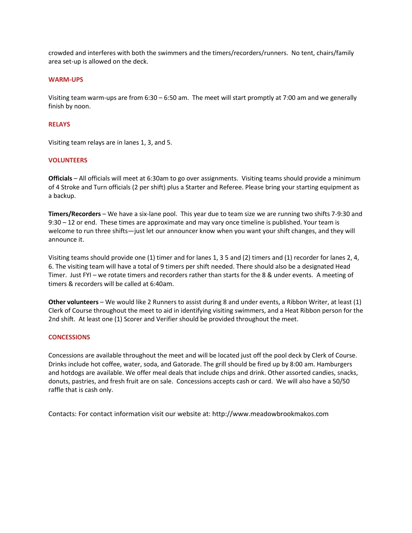crowded and interferes with both the swimmers and the timers/recorders/runners. No tent, chairs/family area set-up is allowed on the deck.

# **WARM-UPS**

Visiting team warm-ups are from 6:30 – 6:50 am. The meet will start promptly at 7:00 am and we generally finish by noon.

## **RELAYS**

Visiting team relays are in lanes 1, 3, and 5.

# **VOLUNTEERS**

**Officials** – All officials will meet at 6:30am to go over assignments. Visiting teams should provide a minimum of 4 Stroke and Turn officials (2 per shift) plus a Starter and Referee. Please bring your starting equipment as a backup.

**Timers/Recorders** – We have a six-lane pool. This year due to team size we are running two shifts 7-9:30 and 9:30 – 12 or end. These times are approximate and may vary once timeline is published. Your team is welcome to run three shifts—just let our announcer know when you want your shift changes, and they will announce it.

Visiting teams should provide one (1) timer and for lanes 1, 3 5 and (2) timers and (1) recorder for lanes 2, 4, 6. The visiting team will have a total of 9 timers per shift needed. There should also be a designated Head Timer. Just FYI – we rotate timers and recorders rather than starts for the 8 & under events. A meeting of timers & recorders will be called at 6:40am.

**Other volunteers** – We would like 2 Runners to assist during 8 and under events, a Ribbon Writer, at least (1) Clerk of Course throughout the meet to aid in identifying visiting swimmers, and a Heat Ribbon person for the 2nd shift. At least one (1) Scorer and Verifier should be provided throughout the meet.

### **CONCESSIONS**

Concessions are available throughout the meet and will be located just off the pool deck by Clerk of Course. Drinks include hot coffee, water, soda, and Gatorade. The grill should be fired up by 8:00 am. Hamburgers and hotdogs are available. We offer meal deals that include chips and drink. Other assorted candies, snacks, donuts, pastries, and fresh fruit are on sale. Concessions accepts cash or card. We will also have a 50/50 raffle that is cash only.

Contacts: For contact information visit our website at: http://www.meadowbrookmakos.com